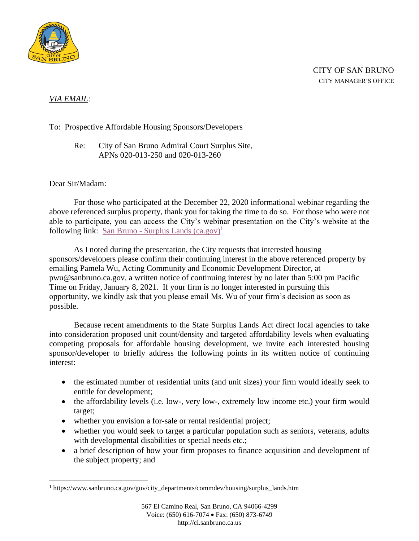

## *VIA EMAIL:*

To: Prospective Affordable Housing Sponsors/Developers

Re: City of San Bruno Admiral Court Surplus Site, APNs 020-013-250 and 020-013-260

## Dear Sir/Madam:

For those who participated at the December 22, 2020 informational webinar regarding the above referenced surplus property, thank you for taking the time to do so. For those who were not able to participate, you can access the City's webinar presentation on the City's website at the following link: San Bruno - Surplus Lands  $(ca.gov)^1$ 

As I noted during the presentation, the City requests that interested housing sponsors/developers please confirm their continuing interest in the above referenced property by emailing Pamela Wu, Acting Community and Economic Development Director, at pwu@sanbruno.ca.gov, a written notice of continuing interest by no later than 5:00 pm Pacific Time on Friday, January 8, 2021. If your firm is no longer interested in pursuing this opportunity, we kindly ask that you please email Ms. Wu of your firm's decision as soon as possible.

Because recent amendments to the State Surplus Lands Act direct local agencies to take into consideration proposed unit count/density and targeted affordability levels when evaluating competing proposals for affordable housing development, we invite each interested housing sponsor/developer to briefly address the following points in its written notice of continuing interest:

- the estimated number of residential units (and unit sizes) your firm would ideally seek to entitle for development;
- the affordability levels (i.e. low-, very low-, extremely low income etc.) your firm would target;
- whether you envision a for-sale or rental residential project;
- whether you would seek to target a particular population such as seniors, veterans, adults with developmental disabilities or special needs etc.;
- a brief description of how your firm proposes to finance acquisition and development of the subject property; and

<sup>1</sup> https://www.sanbruno.ca.gov/gov/city\_departments/commdev/housing/surplus\_lands.htm